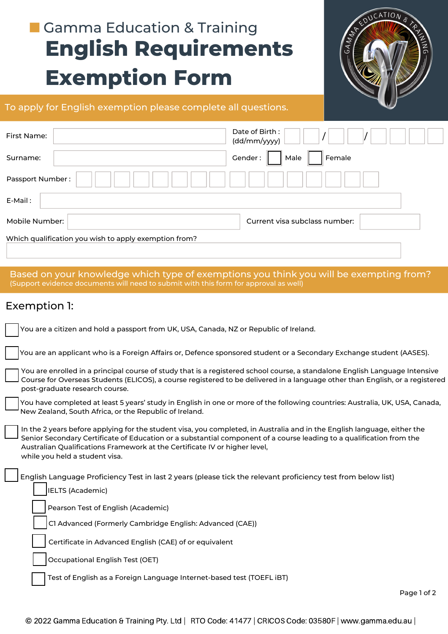## **English Requirements Exemption Form Gamma Education & Training**



#### To apply for English exemption please complete all questions.

| First Name:                                           | Date of Birth:<br>(dd/mm/yyyy) |  |  |  |
|-------------------------------------------------------|--------------------------------|--|--|--|
| Surname:                                              | Gender:<br>Female<br>Male      |  |  |  |
| Passport Number:                                      |                                |  |  |  |
| E-Mail:                                               |                                |  |  |  |
| Mobile Number:                                        | Current visa subclass number:  |  |  |  |
| Which qualification you wish to apply exemption from? |                                |  |  |  |

Based on your knowledge which type of exemptions you think you will be exempting from? (Support evidence documents will need to submit with this form for approval as well)

### Exemption 1:

| You are a citizen and hold a passport from UK, USA, Canada, NZ or Republic of Ireland.                                                                                                                                                                                                                                                                           |
|------------------------------------------------------------------------------------------------------------------------------------------------------------------------------------------------------------------------------------------------------------------------------------------------------------------------------------------------------------------|
| You are an applicant who is a Foreign Affairs or, Defence sponsored student or a Secondary Exchange student (AASES).                                                                                                                                                                                                                                             |
| You are enrolled in a principal course of study that is a registered school course, a standalone English Language Intensive<br>Course for Overseas Students (ELICOS), a course registered to be delivered in a language other than English, or a registered<br>post-graduate research course.                                                                    |
| You have completed at least 5 years' study in English in one or more of the following countries: Australia, UK, USA, Canada,<br>New Zealand, South Africa, or the Republic of Ireland.                                                                                                                                                                           |
| In the 2 years before applying for the student visa, you completed, in Australia and in the English language, either the<br>Senior Secondary Certificate of Education or a substantial component of a course leading to a qualification from the<br>Australian Qualifications Framework at the Certificate IV or higher level,<br>while you held a student visa. |
| English Language Proficiency Test in last 2 years (please tick the relevant proficiency test from below list)<br><b>IELTS (Academic)</b>                                                                                                                                                                                                                         |
| Pearson Test of English (Academic)                                                                                                                                                                                                                                                                                                                               |
| C1 Advanced (Formerly Cambridge English: Advanced (CAE))                                                                                                                                                                                                                                                                                                         |
| Certificate in Advanced English (CAE) of or equivalent                                                                                                                                                                                                                                                                                                           |
| Occupational English Test (OET)                                                                                                                                                                                                                                                                                                                                  |
| Test of English as a Foreign Language Internet-based test (TOEFL iBT)                                                                                                                                                                                                                                                                                            |